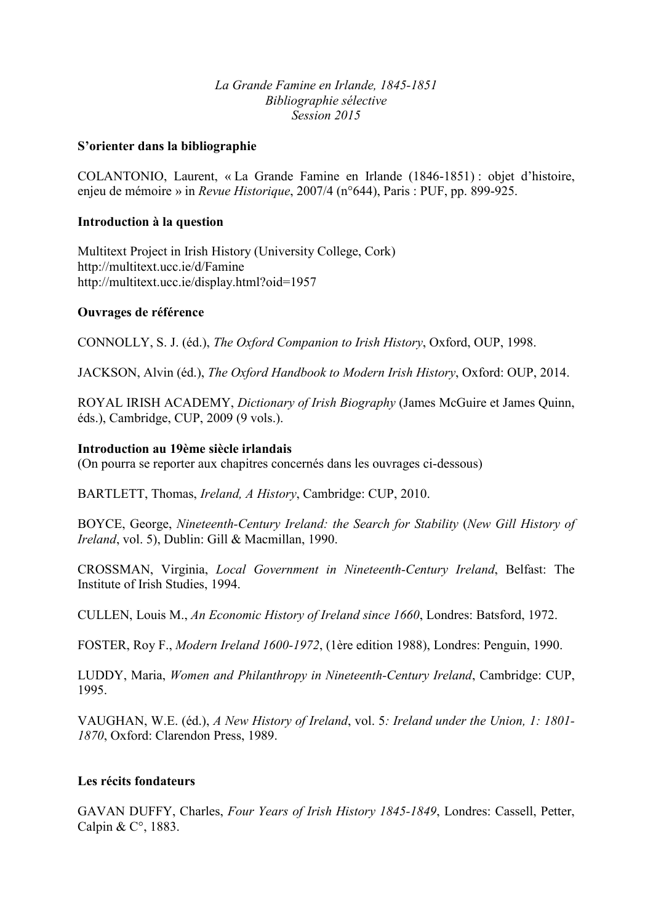## *La Grande Famine en Irlande, 1845-1851 Bibliographie sélective Session 2015*

## **S'orienter dans la bibliographie**

COLANTONIO, Laurent, « La Grande Famine en Irlande (1846-1851) : objet d'histoire, enjeu de mémoire » in *Revue Historique*, 2007/4 (n°644), Paris : PUF, pp. 899-925.

#### **Introduction à la question**

Multitext Project in Irish History (University College, Cork) http://multitext.ucc.ie/d/Famine http://multitext.ucc.ie/display.html?oid=1957

#### **Ouvrages de référence**

CONNOLLY, S. J. (éd.), *The Oxford Companion to Irish History*, Oxford, OUP, 1998.

JACKSON, Alvin (éd.), *The Oxford Handbook to Modern Irish History*, Oxford: OUP, 2014.

ROYAL IRISH ACADEMY, *Dictionary of Irish Biography* (James McGuire et James Quinn, éds.), Cambridge, CUP, 2009 (9 vols.).

## **Introduction au 19ème siècle irlandais**

(On pourra se reporter aux chapitres concernés dans les ouvrages ci-dessous)

BARTLETT, Thomas, *Ireland, A History*, Cambridge: CUP, 2010.

BOYCE, George, *0ineteenth-Century Ireland: the Search for Stability* (*0ew Gill History of Ireland*, vol. 5), Dublin: Gill & Macmillan, 1990.

CROSSMAN, Virginia, *Local Government in 0ineteenth-Century Ireland*, Belfast: The Institute of Irish Studies, 1994.

CULLEN, Louis M., *An Economic History of Ireland since 1660*, Londres: Batsford, 1972.

FOSTER, Roy F., *Modern Ireland 1600-1972*, (1ère edition 1988), Londres: Penguin, 1990.

LUDDY, Maria, *Women and Philanthropy in Nineteenth-Century Ireland*, Cambridge: CUP, 1995.

VAUGHAN, W.E. (éd.), *A 0ew History of Ireland*, vol. 5*: Ireland under the Union, 1: 1801- 1870*, Oxford: Clarendon Press, 1989.

## **Les récits fondateurs**

GAVAN DUFFY, Charles, *Four Years of Irish History 1845-1849*, Londres: Cassell, Petter, Calpin & C°, 1883.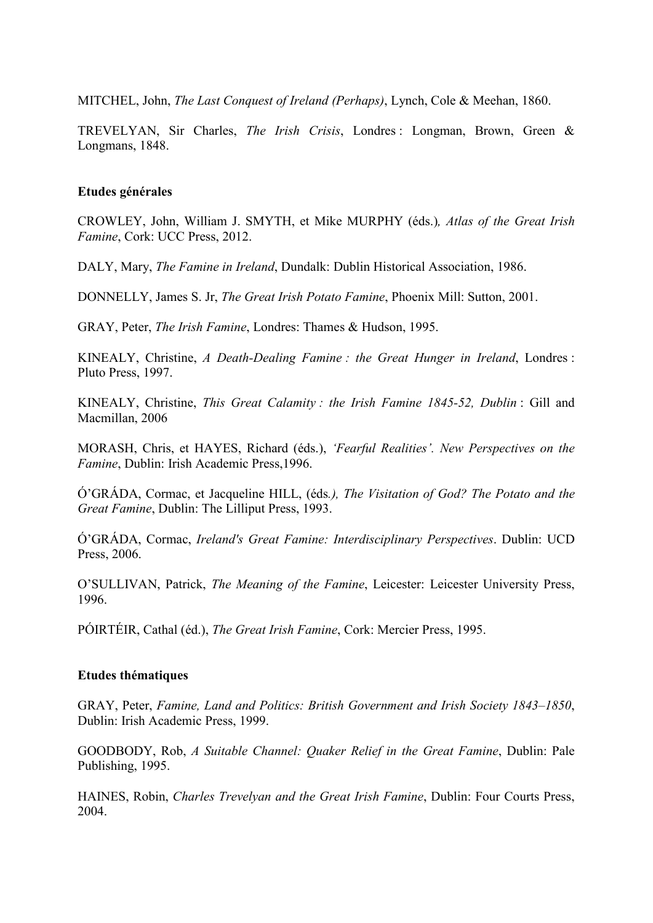MITCHEL, John, *The Last Conquest of Ireland (Perhaps)*, Lynch, Cole & Meehan, 1860.

TREVELYAN, Sir Charles, *The Irish Crisis*, Londres : Longman, Brown, Green & Longmans, 1848.

# **Etudes générales**

CROWLEY, John, William J. SMYTH, et Mike MURPHY (éds.)*, Atlas of the Great Irish Famine*, Cork: UCC Press, 2012.

DALY, Mary, *The Famine in Ireland*, Dundalk: Dublin Historical Association, 1986.

DONNELLY, James S. Jr, *The Great Irish Potato Famine*, Phoenix Mill: Sutton, 2001.

GRAY, Peter, *The Irish Famine*, Londres: Thames & Hudson, 1995.

KINEALY, Christine, *A Death-Dealing Famine : the Great Hunger in Ireland*, Londres : Pluto Press, 1997.

KINEALY, Christine, *This Great Calamity : the Irish Famine 1845-52, Dublin : Gill and* Macmillan, 2006

MORASH, Chris, et HAYES, Richard (éds.), *'Fearful Realities'*. New Perspectives on the *Famine*, Dublin: Irish Academic Press,1996.

Ó'GRÁDA, Cormac, et Jacqueline HILL, (éds*.), The Visitation of God? The Potato and the Great Famine*, Dublin: The Lilliput Press, 1993.

Ó'GRÁDA, Cormac, *Ireland's Great Famine: Interdisciplinary Perspectives*. Dublin: UCD Press, 2006.

O'SULLIVAN, Patrick, *The Meaning of the Famine*, Leicester: Leicester University Press, 1996.

PÓIRTÉIR, Cathal (éd.), *The Great Irish Famine*, Cork: Mercier Press, 1995.

## **Etudes thématiques**

GRAY, Peter, *Famine, Land and Politics: British Government and Irish Society 1843–1850*, Dublin: Irish Academic Press, 1999.

GOODBODY, Rob, *A Suitable Channel: Quaker Relief in the Great Famine*, Dublin: Pale Publishing, 1995.

HAINES, Robin, *Charles Trevelyan and the Great Irish Famine*, Dublin: Four Courts Press, 2004.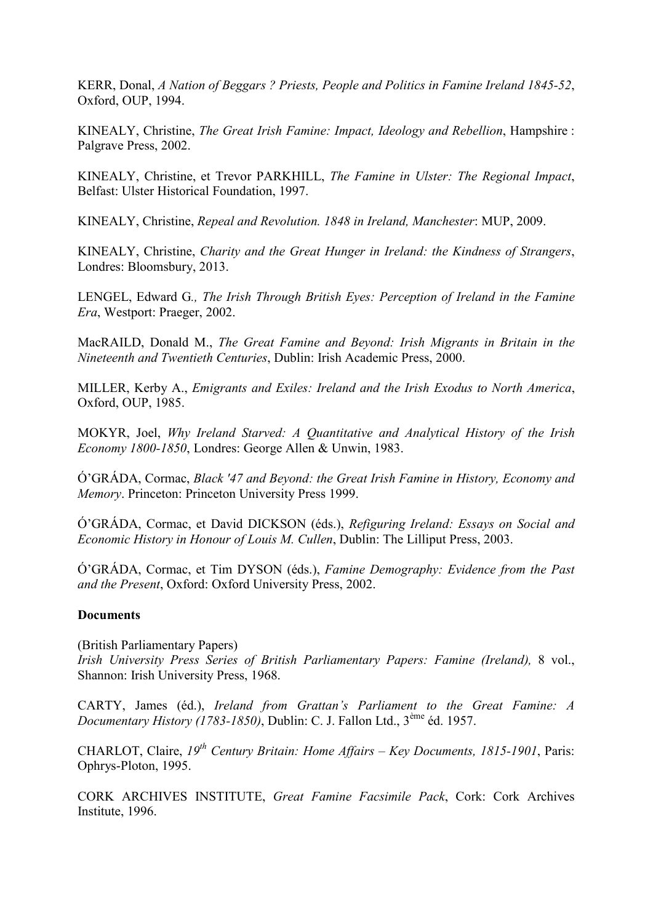KERR, Donal, *A Nation of Beggars ? Priests, People and Politics in Famine Ireland 1845-52*, Oxford, OUP, 1994.

KINEALY, Christine, *The Great Irish Famine: Impact, Ideology and Rebellion*, Hampshire : Palgrave Press, 2002.

KINEALY, Christine, et Trevor PARKHILL, *The Famine in Ulster: The Regional Impact*, Belfast: Ulster Historical Foundation, 1997.

KINEALY, Christine, *Repeal and Revolution. 1848 in Ireland, Manchester*: MUP, 2009.

KINEALY, Christine, *Charity and the Great Hunger in Ireland: the Kindness of Strangers*, Londres: Bloomsbury, 2013.

LENGEL, Edward G*., The Irish Through British Eyes: Perception of Ireland in the Famine Era*, Westport: Praeger, 2002.

MacRAILD, Donald M., *The Great Famine and Beyond: Irish Migrants in Britain in the 0ineteenth and Twentieth Centuries*, Dublin: Irish Academic Press, 2000.

MILLER, Kerby A., *Emigrants and Exiles: Ireland and the Irish Exodus to North America*, Oxford, OUP, 1985.

MOKYR, Joel, *Why Ireland Starved: A Quantitative and Analytical History of the Irish Economy 1800-1850*, Londres: George Allen & Unwin, 1983.

Ó'GRÁDA, Cormac, *Black '47 and Beyond: the Great Irish Famine in History, Economy and Memory*. Princeton: Princeton University Press 1999.

Ó'GRÁDA, Cormac, et David DICKSON (éds.), *Refiguring Ireland: Essays on Social and Economic History in Honour of Louis M. Cullen*, Dublin: The Lilliput Press, 2003.

Ó'GRÁDA, Cormac, et Tim DYSON (éds.), *Famine Demography: Evidence from the Past and the Present*, Oxford: Oxford University Press, 2002.

## **Documents**

(British Parliamentary Papers) *Irish University Press Series of British Parliamentary Papers: Famine (Ireland),* 8 vol., Shannon: Irish University Press, 1968.

CARTY, James (éd.), *Ireland from Grattan's Parliament to the Great Famine: A Documentary History (1783-1850)*, Dublin: C. J. Fallon Ltd., 3ème éd. 1957.

CHARLOT, Claire, *19th Century Britain: Home Affairs – Key Documents, 1815-1901*, Paris: Ophrys-Ploton, 1995.

CORK ARCHIVES INSTITUTE, *Great Famine Facsimile Pack*, Cork: Cork Archives Institute, 1996.